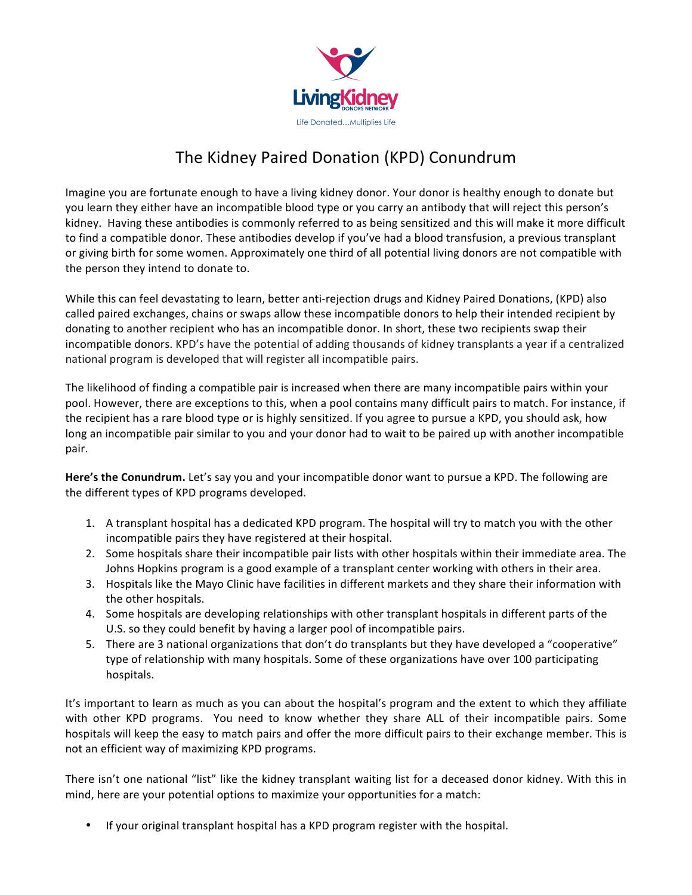

## The Kidney Paired Donation (KPD) Conundrum

Imagine you are fortunate enough to have a living kidney donor. Your donor is healthy enough to donate but you learn they either have an incompatible blood type or you carry an antibody that will reject this person's kidney. Having these antibodies is commonly referred to as being sensitized and this will make it more difficult to find a compatible donor. These antibodies develop if you've had a blood transfusion, a previous transplant or giving birth for some women. Approximately one third of all potential living donors are not compatible with the person they intend to donate to.

While this can feel devastating to learn, better anti-rejection drugs and Kidney Paired Donations, (KPD) also called paired exchanges, chains or swaps allow these incompatible donors to help their intended recipient by donating to another recipient who has an incompatible donor. In short, these two recipients swap their incompatible donors. KPD's have the potential of adding thousands of kidney transplants a year if a centralized national program is developed that will register all incompatible pairs.

The likelihood of finding a compatible pair is increased when there are many incompatible pairs within your pool. However, there are exceptions to this, when a pool contains many difficult pairs to match. For instance, if the recipient has a rare blood type or is highly sensitized. If you agree to pursue a KPD, you should ask, how long an incompatible pair similar to you and your donor had to wait to be paired up with another incompatible pair.

Here's the Conundrum. Let's say you and your incompatible donor want to pursue a KPD. The following are the different types of KPD programs developed.

- 1. A transplant hospital has a dedicated KPD program. The hospital will try to match you with the other incompatible pairs they have registered at their hospital.
- 2. Some hospitals share their incompatible pair lists with other hospitals within their immediate area. The Johns Hopkins program is a good example of a transplant center working with others in their area.
- 3. Hospitals like the Mayo Clinic have facilities in different markets and they share their information with the other hospitals.
- 4. Some hospitals are developing relationships with other transplant hospitals in different parts of the U.S. so they could benefit by having a larger pool of incompatible pairs.
- 5. There are 3 national organizations that don't do transplants but they have developed a "cooperative" type of relationship with many hospitals. Some of these organizations have over 100 participating hospitals.

It's important to learn as much as you can about the hospital's program and the extent to which they affiliate with other KPD programs. You need to know whether they share ALL of their incompatible pairs. Some hospitals will keep the easy to match pairs and offer the more difficult pairs to their exchange member. This is not an efficient way of maximizing KPD programs.

There isn't one national "list" like the kidney transplant waiting list for a deceased donor kidney. With this in mind, here are your potential options to maximize your opportunities for a match:

• If your original transplant hospital has a KPD program register with the hospital.